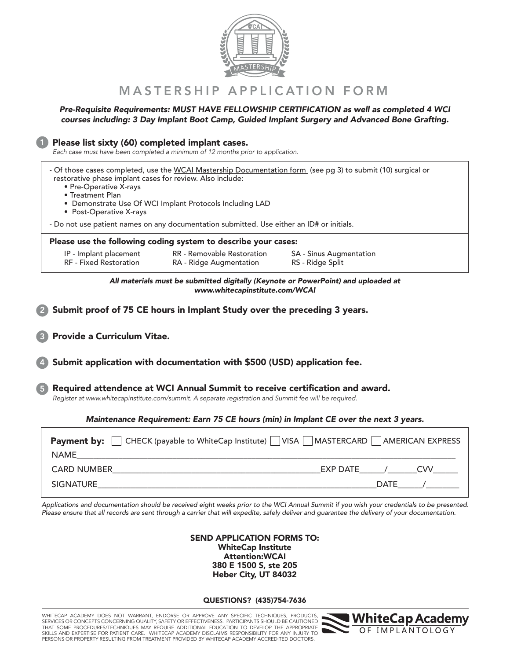

#### MASTERSHIP APPLICATION FORM

#### *Pre-Requisite Requirements: MUST HAVE FELLOWSHIP CERTIFICATION as well as completed 4 WCI courses including: 3 Day Implant Boot Camp, Guided Implant Surgery and Advanced Bone Grafting.*

*Each case must have been completed a minimum of 12 months prior to application.* 1 2 Submit proof of 75 CE hours in Implant Study over the preceding 3 years. Please list sixty (60) completed implant cases. 3 Provide a Curriculum Vitae. Submit application with documentation with \$500 (USD) application fee. Required attendence at WCI Annual Summit to receive certification and award. *Register at www.whitecapinstitute.com/summit. A separate registration and Summit fee will be required.* 5 - Of those cases completed, use the WCAI Mastership Documentation form (see pg 3) to submit (10) surgical or restorative phase implant cases for review. Also include: • Pre-Operative X-rays • Treatment Plan • Demonstrate Use Of WCI Implant Protocols Including LAD • Post-Operative X-rays - Do not use patient names on any documentation submitted. Use either an ID# or initials. Please use the following coding system to describe your cases: IP - Implant placement RF - Fixed Restoration RR - Removable Restoration RA - Ridge Augmentation SA - Sinus Augmentation RS - Ridge Split **Payment by:**  $\hfill\Box$  CHECK (payable to WhiteCap Institute)  $\hfill\Box$  VISA  $\hfill\Box$  MASTERCARD  $\hfill\Box$  AMERICAN EXPRESS CARD NUMBER\_\_\_\_\_\_\_\_\_\_\_\_\_\_\_\_\_\_\_\_\_\_\_\_\_\_\_\_\_\_\_\_\_\_\_\_\_\_\_\_\_\_\_\_\_\_\_\_\_\_EXP DATE\_\_\_\_\_\_/\_\_\_\_\_\_\_CVV\_\_\_\_\_\_ SIGNATURE\_\_\_\_\_\_\_\_\_\_\_\_\_\_\_\_\_\_\_\_\_\_\_\_\_\_\_\_\_\_\_\_\_\_\_\_\_\_\_\_\_\_\_\_\_\_\_\_\_\_\_\_\_\_\_\_\_\_\_\_\_\_\_\_\_\_\_DATE\_\_\_\_\_\_/\_\_\_\_\_\_\_\_ NAME\_\_\_\_\_\_\_\_\_\_\_\_\_\_\_\_\_\_\_\_\_\_\_\_\_\_\_\_\_\_\_\_\_\_\_\_\_\_\_\_\_\_\_\_\_\_\_\_\_\_\_\_\_\_\_\_\_\_\_\_\_\_\_\_\_\_\_\_\_\_\_\_\_\_\_\_\_\_\_\_\_\_\_\_\_\_\_\_\_\_\_ *All materials must be submitted digitally (Keynote or PowerPoint) and uploaded at www.whitecapinstitute.com/WCAI Maintenance Requirement: Earn 75 CE hours (min) in Implant CE over the next 3 years.*

*Applications and documentation should be received eight weeks prior to the WCI Annual Summit if you wish your credentials to be presented. Please ensure that all records are sent through a carrier that will expedite, safely deliver and guarantee the delivery of your documentation.*

> SEND APPLICATION FORMS TO: WhiteCap Institute Attention:WCAI 380 E 1500 S, ste 205 Heber City, UT 84032

QUESTIONS? (435)754-7636

WHITECAP ACADEMY DOES NOT WARRANT, ENDORSE OR APPROVE ANY SPECIFIC TECHNIQUES, PRODUCTS, SERVICES OR CONCEPTS CONCERNING QUALITY, SAFETY OR EFFECTIVENESS. PARTICIPANTS SHOULD BE CAUTIONED<br>THAT SOME PROCEDURES/TECHNIQUES MAY REQUIRE ADDITIONAL EDUCATION TO DEVELOP THE APPROPRIATE SKILLS AND EXPERTISE FOR PATIENT CARE. WHITECAP ACADEMY DISCLAIMS RESPONSIBILITY FOR ANY INJURY TO PERSONS OR PROPERTY RESULTING FROM TREATMENT PROVIDED BY WHITECAP ACADEMY ACCREDITED DOCTORS.

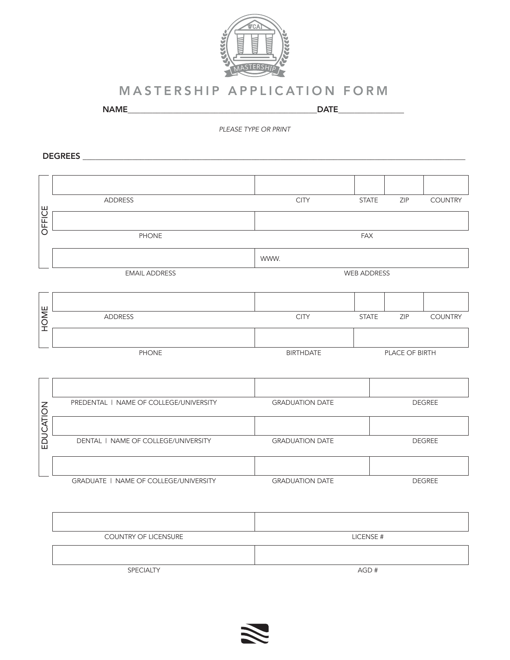

#### MASTERSHIP APPLICATION FORM

NAME\_\_\_\_\_\_\_\_\_\_\_\_\_\_\_\_\_\_\_\_\_\_\_\_\_\_\_\_\_\_\_\_\_\_\_\_\_\_\_\_\_\_\_\_\_\_DATE\_\_\_\_\_\_\_\_\_\_\_\_\_\_\_\_

*PLEASE TYPE OR PRINT*

DEGREES \_\_\_\_\_\_\_\_\_\_\_\_\_\_\_\_\_\_\_\_\_\_\_\_\_\_\_\_\_\_\_\_\_\_\_\_\_\_\_\_\_\_\_\_\_\_\_\_\_\_\_\_\_\_\_\_\_\_\_\_\_\_\_\_\_\_\_\_\_\_\_\_\_\_\_\_\_\_\_\_\_\_\_\_\_\_\_\_\_\_\_\_\_

|           | ADDRESS                                | <b>CITY</b>            | <b>STATE</b>  | ZIP            | <b>COUNTRY</b> |  |  |  |
|-----------|----------------------------------------|------------------------|---------------|----------------|----------------|--|--|--|
| OFFICE    |                                        |                        |               |                |                |  |  |  |
|           | <b>PHONE</b>                           | <b>FAX</b>             |               |                |                |  |  |  |
|           |                                        | WWW.                   |               |                |                |  |  |  |
|           | <b>EMAIL ADDRESS</b>                   | <b>WEB ADDRESS</b>     |               |                |                |  |  |  |
|           |                                        |                        |               |                |                |  |  |  |
|           |                                        |                        |               |                |                |  |  |  |
| HOME      | <b>ADDRESS</b>                         | <b>CITY</b>            | <b>STATE</b>  | ZIP            | <b>COUNTRY</b> |  |  |  |
|           |                                        |                        |               |                |                |  |  |  |
|           | <b>PHONE</b>                           | <b>BIRTHDATE</b>       |               | PLACE OF BIRTH |                |  |  |  |
|           |                                        |                        |               |                |                |  |  |  |
|           |                                        |                        |               |                |                |  |  |  |
|           | PREDENTAL   NAME OF COLLEGE/UNIVERSITY | <b>GRADUATION DATE</b> |               |                | <b>DEGREE</b>  |  |  |  |
| EDUCATION |                                        |                        |               |                |                |  |  |  |
|           | DENTAL   NAME OF COLLEGE/UNIVERSITY    | <b>GRADUATION DATE</b> |               | <b>DEGREE</b>  |                |  |  |  |
|           |                                        |                        |               |                |                |  |  |  |
|           | GRADUATE   NAME OF COLLEGE/UNIVERSITY  | <b>GRADUATION DATE</b> | <b>DEGREE</b> |                |                |  |  |  |

| <b>COUNTRY OF LICENSURE</b> | LICENSE # |
|-----------------------------|-----------|
|                             |           |
| <b>SPECIALTY</b>            | AGD#      |

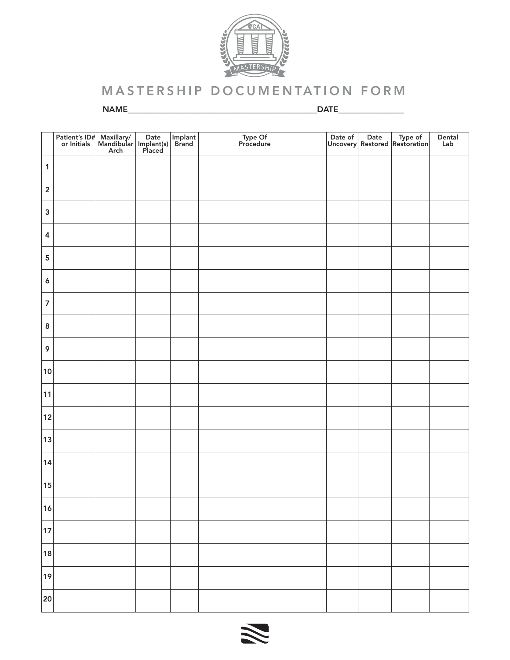

# MASTERSHIP DOCUMENTATION FORM

NAME\_\_\_\_\_\_\_\_\_\_\_\_\_\_\_\_\_\_\_\_\_\_\_\_\_\_\_\_\_\_\_\_\_\_\_\_\_\_\_\_\_\_\_\_\_\_DATE\_\_\_\_\_\_\_\_\_\_\_\_\_\_\_\_

|                | Patient's ID# Maxillary/ Date<br>or Initials Mandibular Implant(s)<br>Arch Placed |  | Implant<br>Brand | Type Of<br>Procedure |  | Date of Date Type of Uncovery Restored Restoration | Dental<br>Lab |
|----------------|-----------------------------------------------------------------------------------|--|------------------|----------------------|--|----------------------------------------------------|---------------|
| $\mathbf{1}$   |                                                                                   |  |                  |                      |  |                                                    |               |
| $\mathbf 2$    |                                                                                   |  |                  |                      |  |                                                    |               |
| $\mathsf 3$    |                                                                                   |  |                  |                      |  |                                                    |               |
| $\pmb{4}$      |                                                                                   |  |                  |                      |  |                                                    |               |
| ${\bf 5}$      |                                                                                   |  |                  |                      |  |                                                    |               |
| $\pmb{6}$      |                                                                                   |  |                  |                      |  |                                                    |               |
| $\overline{7}$ |                                                                                   |  |                  |                      |  |                                                    |               |
| $\bf 8$        |                                                                                   |  |                  |                      |  |                                                    |               |
| 9              |                                                                                   |  |                  |                      |  |                                                    |               |
| 10             |                                                                                   |  |                  |                      |  |                                                    |               |
| 11             |                                                                                   |  |                  |                      |  |                                                    |               |
| 12             |                                                                                   |  |                  |                      |  |                                                    |               |
| 13             |                                                                                   |  |                  |                      |  |                                                    |               |
| 14             |                                                                                   |  |                  |                      |  |                                                    |               |
| 15             |                                                                                   |  |                  |                      |  |                                                    |               |
| 16             |                                                                                   |  |                  |                      |  |                                                    |               |
| 17             |                                                                                   |  |                  |                      |  |                                                    |               |
| 18             |                                                                                   |  |                  |                      |  |                                                    |               |
| 19             |                                                                                   |  |                  |                      |  |                                                    |               |
| 20             |                                                                                   |  |                  |                      |  |                                                    |               |

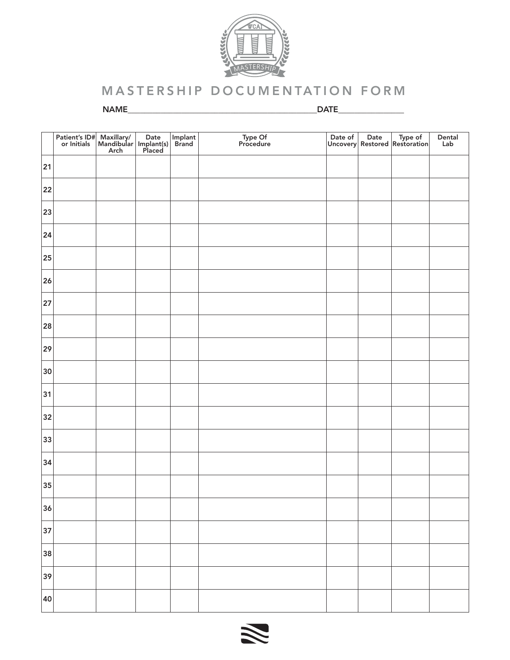

# MASTERSHIP DOCUMENTATION FORM

NAME\_\_\_\_\_\_\_\_\_\_\_\_\_\_\_\_\_\_\_\_\_\_\_\_\_\_\_\_\_\_\_\_\_\_\_\_\_\_\_\_\_\_\_\_\_\_DATE\_\_\_\_\_\_\_\_\_\_\_\_\_\_\_\_

|    | $\begin{array}{ l }\n\hline\n \text{Patternt's ID$\#} \\ \hline\n \text{or Initials}\n\end{array}$ | Maxillary/ Date  <br>Mandibular   Implant(s)  <br>Arch   Placed | Implant<br>Brand | Type Of<br>Procedure |  | Date of Date Type of<br>Uncovery Restored Restoration | Dental<br>Lab |
|----|----------------------------------------------------------------------------------------------------|-----------------------------------------------------------------|------------------|----------------------|--|-------------------------------------------------------|---------------|
| 21 |                                                                                                    |                                                                 |                  |                      |  |                                                       |               |
| 22 |                                                                                                    |                                                                 |                  |                      |  |                                                       |               |
| 23 |                                                                                                    |                                                                 |                  |                      |  |                                                       |               |
| 24 |                                                                                                    |                                                                 |                  |                      |  |                                                       |               |
| 25 |                                                                                                    |                                                                 |                  |                      |  |                                                       |               |
| 26 |                                                                                                    |                                                                 |                  |                      |  |                                                       |               |
| 27 |                                                                                                    |                                                                 |                  |                      |  |                                                       |               |
| 28 |                                                                                                    |                                                                 |                  |                      |  |                                                       |               |
| 29 |                                                                                                    |                                                                 |                  |                      |  |                                                       |               |
| 30 |                                                                                                    |                                                                 |                  |                      |  |                                                       |               |
| 31 |                                                                                                    |                                                                 |                  |                      |  |                                                       |               |
| 32 |                                                                                                    |                                                                 |                  |                      |  |                                                       |               |
| 33 |                                                                                                    |                                                                 |                  |                      |  |                                                       |               |
| 34 |                                                                                                    |                                                                 |                  |                      |  |                                                       |               |
| 35 |                                                                                                    |                                                                 |                  |                      |  |                                                       |               |
| 36 |                                                                                                    |                                                                 |                  |                      |  |                                                       |               |
| 37 |                                                                                                    |                                                                 |                  |                      |  |                                                       |               |
| 38 |                                                                                                    |                                                                 |                  |                      |  |                                                       |               |
| 39 |                                                                                                    |                                                                 |                  |                      |  |                                                       |               |
| 40 |                                                                                                    |                                                                 |                  |                      |  |                                                       |               |